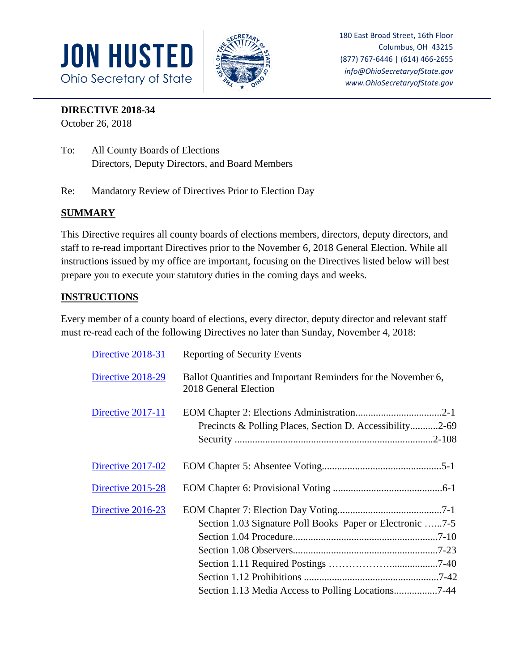



180 East Broad Street, 16th Floor Columbus, OH 43215 (877) 767-6446 | (614) 466-2655 *info@OhioSecretaryofState.gov www.OhioSecretaryofState.gov*

## **DIRECTIVE 2018-34**

October 26, 2018

- To: All County Boards of Elections Directors, Deputy Directors, and Board Members
- Re: Mandatory Review of Directives Prior to Election Day

## **SUMMARY**

This Directive requires all county boards of elections members, directors, deputy directors, and staff to re-read important Directives prior to the November 6, 2018 General Election. While all instructions issued by my office are important, focusing on the Directives listed below will best prepare you to execute your statutory duties in the coming days and weeks.

## **INSTRUCTIONS**

Every member of a county board of elections, every director, deputy director and relevant staff must re-read each of the following Directives no later than Sunday, November 4, 2018:

| Directive 2018-31 | <b>Reporting of Security Events</b>                                                    |
|-------------------|----------------------------------------------------------------------------------------|
| Directive 2018-29 | Ballot Quantities and Important Reminders for the November 6,<br>2018 General Election |
| Directive 2017-11 | Precincts & Polling Places, Section D. Accessibility2-69                               |
| Directive 2017-02 |                                                                                        |
| Directive 2015-28 |                                                                                        |
| Directive 2016-23 | Section 1.03 Signature Poll Books-Paper or Electronic 7-5                              |